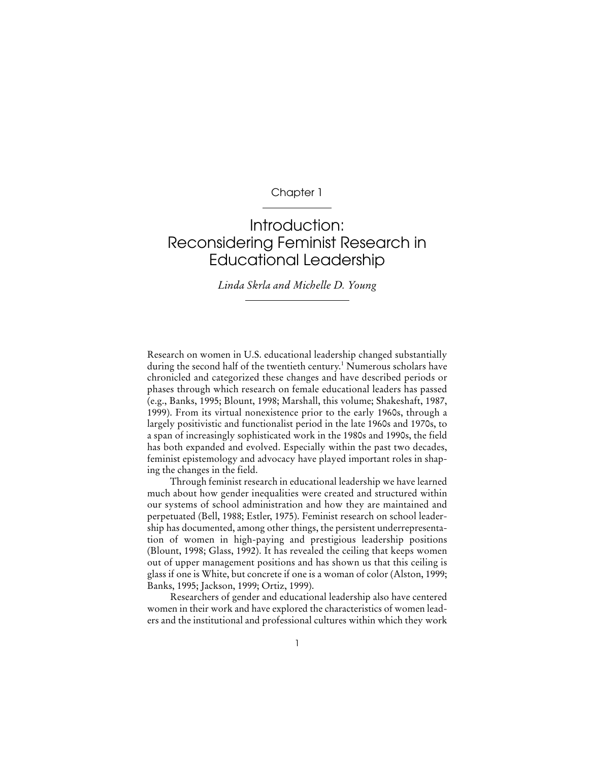Chapter 1

## Introduction: Reconsidering Feminist Research in Educational Leadership

## *Linda Skrla and Michelle D. Young*

Research on women in U.S. educational leadership changed substantially during the second half of the twentieth century.<sup>1</sup> Numerous scholars have chronicled and categorized these changes and have described periods or phases through which research on female educational leaders has passed (e.g., Banks, 1995; Blount, 1998; Marshall, this volume; Shakeshaft, 1987, 1999). From its virtual nonexistence prior to the early 1960s, through a largely positivistic and functionalist period in the late 1960s and 1970s, to a span of increasingly sophisticated work in the 1980s and 1990s, the field has both expanded and evolved. Especially within the past two decades, feminist epistemology and advocacy have played important roles in shaping the changes in the field.

Through feminist research in educational leadership we have learned much about how gender inequalities were created and structured within our systems of school administration and how they are maintained and perpetuated (Bell, 1988; Estler, 1975). Feminist research on school leadership has documented, among other things, the persistent underrepresentation of women in high-paying and prestigious leadership positions (Blount, 1998; Glass, 1992). It has revealed the ceiling that keeps women out of upper management positions and has shown us that this ceiling is glass if one is White, but concrete if one is a woman of color (Alston, 1999; Banks, 1995; Jackson, 1999; Ortiz, 1999).

Researchers of gender and educational leadership also have centered women in their work and have explored the characteristics of women leaders and the institutional and professional cultures within which they work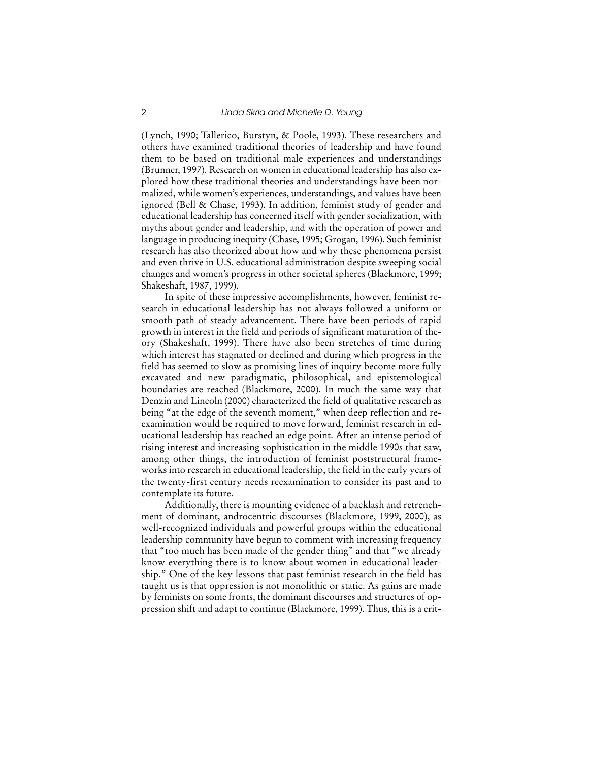(Lynch, 1990; Tallerico, Burstyn, & Poole, 1993). These researchers and others have examined traditional theories of leadership and have found them to be based on traditional male experiences and understandings (Brunner, 1997). Research on women in educational leadership has also explored how these traditional theories and understandings have been normalized, while women's experiences, understandings, and values have been ignored (Bell & Chase, 1993). In addition, feminist study of gender and educational leadership has concerned itself with gender socialization, with myths about gender and leadership, and with the operation of power and language in producing inequity (Chase, 1995; Grogan, 1996). Such feminist research has also theorized about how and why these phenomena persist and even thrive in U.S. educational administration despite sweeping social changes and women's progress in other societal spheres (Blackmore, 1999; Shakeshaft, 1987, 1999).

In spite of these impressive accomplishments, however, feminist research in educational leadership has not always followed a uniform or smooth path of steady advancement. There have been periods of rapid growth in interest in the field and periods of significant maturation of theory (Shakeshaft, 1999). There have also been stretches of time during which interest has stagnated or declined and during which progress in the field has seemed to slow as promising lines of inquiry become more fully excavated and new paradigmatic, philosophical, and epistemological boundaries are reached (Blackmore, 2000). In much the same way that Denzin and Lincoln (2000) characterized the field of qualitative research as being "at the edge of the seventh moment," when deep reflection and reexamination would be required to move forward, feminist research in educational leadership has reached an edge point. After an intense period of rising interest and increasing sophistication in the middle 1990s that saw, among other things, the introduction of feminist poststructural frameworks into research in educational leadership, the field in the early years of the twenty-first century needs reexamination to consider its past and to contemplate its future.

Additionally, there is mounting evidence of a backlash and retrenchment of dominant, androcentric discourses (Blackmore, 1999, 2000), as well-recognized individuals and powerful groups within the educational leadership community have begun to comment with increasing frequency that "too much has been made of the gender thing" and that "we already know everything there is to know about women in educational leadership." One of the key lessons that past feminist research in the field has taught us is that oppression is not monolithic or static. As gains are made by feminists on some fronts, the dominant discourses and structures of oppression shift and adapt to continue (Blackmore, 1999). Thus, this is a crit-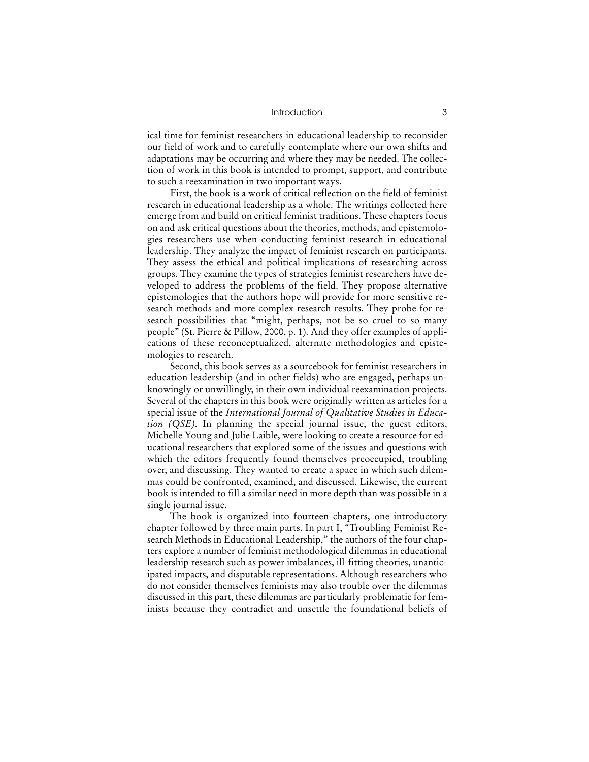## Introduction 3

ical time for feminist researchers in educational leadership to reconsider our field of work and to carefully contemplate where our own shifts and adaptations may be occurring and where they may be needed. The collection of work in this book is intended to prompt, support, and contribute to such a reexamination in two important ways.

First, the book is a work of critical reflection on the field of feminist research in educational leadership as a whole. The writings collected here emerge from and build on critical feminist traditions. These chapters focus on and ask critical questions about the theories, methods, and epistemologies researchers use when conducting feminist research in educational leadership. They analyze the impact of feminist research on participants. They assess the ethical and political implications of researching across groups. They examine the types of strategies feminist researchers have developed to address the problems of the field. They propose alternative epistemologies that the authors hope will provide for more sensitive research methods and more complex research results. They probe for research possibilities that "might, perhaps, not be so cruel to so many people" (St. Pierre & Pillow, 2000, p. 1). And they offer examples of applications of these reconceptualized, alternate methodologies and epistemologies to research.

Second, this book serves as a sourcebook for feminist researchers in education leadership (and in other fields) who are engaged, perhaps unknowingly or unwillingly, in their own individual reexamination projects. Several of the chapters in this book were originally written as articles for a special issue of the *International Journal of Qualitative Studies in Education (QSE)*. In planning the special journal issue, the guest editors, Michelle Young and Julie Laible, were looking to create a resource for educational researchers that explored some of the issues and questions with which the editors frequently found themselves preoccupied, troubling over, and discussing. They wanted to create a space in which such dilemmas could be confronted, examined, and discussed. Likewise, the current book is intended to fill a similar need in more depth than was possible in a single journal issue.

The book is organized into fourteen chapters, one introductory chapter followed by three main parts. In part I, "Troubling Feminist Research Methods in Educational Leadership," the authors of the four chapters explore a number of feminist methodological dilemmas in educational leadership research such as power imbalances, ill-fitting theories, unanticipated impacts, and disputable representations. Although researchers who do not consider themselves feminists may also trouble over the dilemmas discussed in this part, these dilemmas are particularly problematic for feminists because they contradict and unsettle the foundational beliefs of